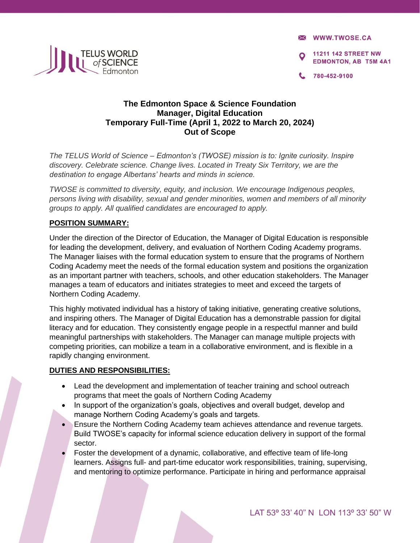**X WWW.TWOSE.CA** 

**11211 142 STREET NW EDMONTON, AB T5M 4A1** 

780-452-9100



## **The Edmonton Space & Science Foundation Manager, Digital Education Temporary Full-Time (April 1, 2022 to March 20, 2024) Out of Scope**

*The TELUS World of Science – Edmonton's (TWOSE) mission is to: Ignite curiosity. Inspire discovery. Celebrate science. Change lives. Located in Treaty Six Territory, we are the destination to engage Albertans' hearts and minds in science.* 

*TWOSE is committed to diversity, equity, and inclusion. We encourage Indigenous peoples, persons living with disability, sexual and gender minorities, women and members of all minority groups to apply. All qualified candidates are encouraged to apply.* 

## **POSITION SUMMARY:**

Under the direction of the Director of Education, the Manager of Digital Education is responsible for leading the development, delivery, and evaluation of Northern Coding Academy programs. The Manager liaises with the formal education system to ensure that the programs of Northern Coding Academy meet the needs of the formal education system and positions the organization as an important partner with teachers, schools, and other education stakeholders. The Manager manages a team of educators and initiates strategies to meet and exceed the targets of Northern Coding Academy.

This highly motivated individual has a history of taking initiative, generating creative solutions, and inspiring others. The Manager of Digital Education has a demonstrable passion for digital literacy and for education. They consistently engage people in a respectful manner and build meaningful partnerships with stakeholders. The Manager can manage multiple projects with competing priorities, can mobilize a team in a collaborative environment, and is flexible in a rapidly changing environment.

## **DUTIES AND RESPONSIBILITIES:**

- Lead the development and implementation of teacher training and school outreach programs that meet the goals of Northern Coding Academy
- In support of the organization's goals, objectives and overall budget, develop and manage Northern Coding Academy's goals and targets.
- Ensure the Northern Coding Academy team achieves attendance and revenue targets. Build TWOSE's capacity for informal science education delivery in support of the formal sector.
- Foster the development of a dynamic, collaborative, and effective team of life-long learners. Assigns full- and part-time educator work responsibilities, training, supervising, and mentoring to optimize performance. Participate in hiring and performance appraisal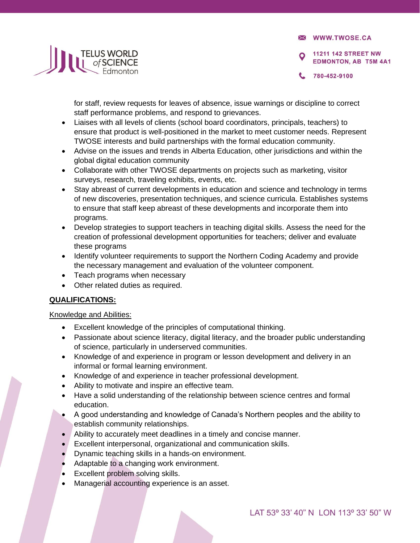**X WWW.TWOSE.CA** 

**11211 142 STREET NW EDMONTON, AB T5M 4A1** 



780-452-9100

for staff, review requests for leaves of absence, issue warnings or discipline to correct staff performance problems, and respond to grievances.

- Liaises with all levels of clients (school board coordinators, principals, teachers) to ensure that product is well-positioned in the market to meet customer needs. Represent TWOSE interests and build partnerships with the formal education community.
- Advise on the issues and trends in Alberta Education, other jurisdictions and within the global digital education community
- Collaborate with other TWOSE departments on projects such as marketing, visitor surveys, research, traveling exhibits, events, etc.
- Stay abreast of current developments in education and science and technology in terms of new discoveries, presentation techniques, and science curricula. Establishes systems to ensure that staff keep abreast of these developments and incorporate them into programs.
- Develop strategies to support teachers in teaching digital skills. Assess the need for the creation of professional development opportunities for teachers; deliver and evaluate these programs
- Identify volunteer requirements to support the Northern Coding Academy and provide the necessary management and evaluation of the volunteer component.
- Teach programs when necessary
- Other related duties as required.

# **QUALIFICATIONS:**

## Knowledge and Abilities:

- Excellent knowledge of the principles of computational thinking.
- Passionate about science literacy, digital literacy, and the broader public understanding of science, particularly in underserved communities.
- Knowledge of and experience in program or lesson development and delivery in an informal or formal learning environment.
- Knowledge of and experience in teacher professional development.
- Ability to motivate and inspire an effective team.
- Have a solid understanding of the relationship between science centres and formal education.
- A good understanding and knowledge of Canada's Northern peoples and the ability to establish community relationships.
- Ability to accurately meet deadlines in a timely and concise manner.
- Excellent interpersonal, organizational and communication skills.
- Dynamic teaching skills in a hands-on environment.
- Adaptable to a changing work environment.
- Excellent problem solving skills.
- Managerial accounting experience is an asset.